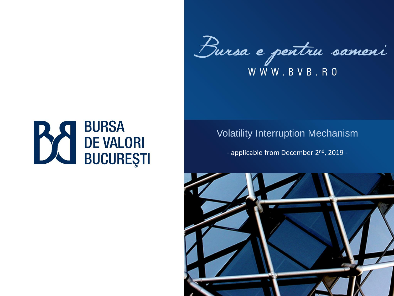Bursa e pentru sameni WWW.BVB.RO

# **BURSA BURSA<br>BUCUREŞTI**

#### Volatility Interruption Mechanism

- applicable from December 2<sup>nd</sup>, 2019 -

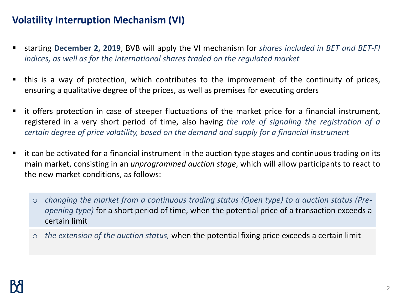# **Volatility Interruption Mechanism (VI)**

- starting **December 2, 2019**, BVB will apply the VI mechanism for *shares included in BET and BET-FI indices, as well as for the international shares traded on the regulated market*
- this is a way of protection, which contributes to the improvement of the continuity of prices, ensuring a qualitative degree of the prices, as well as premises for executing orders
- it offers protection in case of steeper fluctuations of the market price for a financial instrument, registered in a very short period of time, also having *the role of signaling the registration of a certain degree of price volatility, based on the demand and supply for a financial instrument*
- it can be activated for a financial instrument in the auction type stages and continuous trading on its main market, consisting in an *unprogrammed auction stage*, which will allow participants to react to the new market conditions, as follows:
	- o *changing the market from a continuous trading status (Open type) to a auction status (Preopening type)* for a short period of time, when the potential price of a transaction exceeds a certain limit
	- o *the extension of the auction status,* when the potential fixing price exceeds a certain limit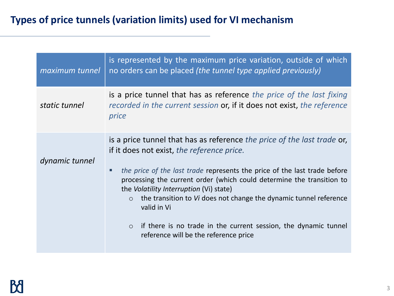# **Types of price tunnels (variation limits) used for VI mechanism**

| maximum tunnel | is represented by the maximum price variation, outside of which<br>no orders can be placed (the tunnel type applied previously)                                                                                                                                                                                                                                                                                                                                                                                                                     |
|----------------|-----------------------------------------------------------------------------------------------------------------------------------------------------------------------------------------------------------------------------------------------------------------------------------------------------------------------------------------------------------------------------------------------------------------------------------------------------------------------------------------------------------------------------------------------------|
| static tunnel  | is a price tunnel that has as reference the price of the last fixing<br>recorded in the current session or, if it does not exist, the reference<br>price                                                                                                                                                                                                                                                                                                                                                                                            |
| dynamic tunnel | is a price tunnel that has as reference the price of the last trade or,<br>if it does not exist, the reference price.<br>the price of the last trade represents the price of the last trade before<br>processing the current order (which could determine the transition to<br>the <i>Volatility Interruption</i> (Vi) state)<br>the transition to Vi does not change the dynamic tunnel reference<br>$\circ$<br>valid in Vi<br>if there is no trade in the current session, the dynamic tunnel<br>$\circ$<br>reference will be the reference price |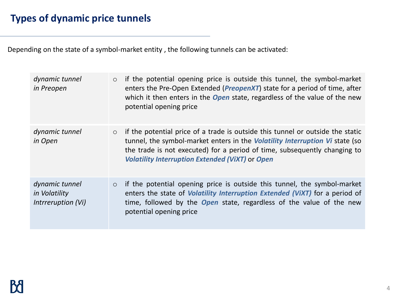Depending on the state of a symbol-market entity , the following tunnels can be activated:

| dynamic tunnel<br>in Preopen                          | $\circ$ | if the potential opening price is outside this tunnel, the symbol-market<br>enters the Pre-Open Extended ( <i>PreopenXT</i> ) state for a period of time, after<br>which it then enters in the <b>Open</b> state, regardless of the value of the new<br>potential opening price                              |
|-------------------------------------------------------|---------|--------------------------------------------------------------------------------------------------------------------------------------------------------------------------------------------------------------------------------------------------------------------------------------------------------------|
| dynamic tunnel<br>in Open                             | $\circ$ | if the potential price of a trade is outside this tunnel or outside the static<br>tunnel, the symbol-market enters in the <i>Volatility Interruption Vi</i> state (so<br>the trade is not executed) for a period of time, subsequently changing to<br><b>Volatility Interruption Extended (ViXT) or Open</b> |
| dynamic tunnel<br>in Volatility<br>Intrreruption (Vi) | $\circ$ | if the potential opening price is outside this tunnel, the symbol-market<br>enters the state of <i>Volatility Interruption Extended (ViXT)</i> for a period of<br>time, followed by the <b>Open</b> state, regardless of the value of the new<br>potential opening price                                     |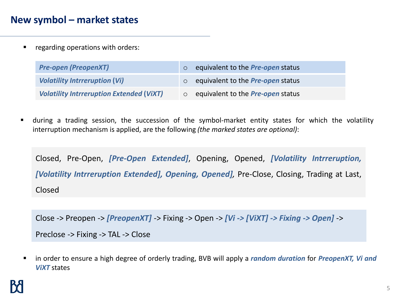#### **New symbol – market states**

■ regarding operations with orders:

| <b>Pre-open (PreopenXT)</b>                     | equivalent to the <b>Pre-open</b> status |
|-------------------------------------------------|------------------------------------------|
| <b>Volatility Intrreruption (Vi)</b>            | equivalent to the <b>Pre-open</b> status |
| <b>Volatility Intrreruption Extended (ViXT)</b> | equivalent to the <b>Pre-open</b> status |

during a trading session, the succession of the symbol-market entity states for which the volatility interruption mechanism is applied, are the following *(the marked states are optional)*:

Closed, Pre-Open, *[Pre-Open Extended]*, Opening, Opened, *[Volatility Intrreruption, [Volatility Intrreruption Extended], Opening, Opened],* Pre-Close, Closing, Trading at Last, Closed

Close -> Preopen -> *[PreopenXT]* -> Fixing -> Open -> *[Vi -> [ViXT] -> Fixing -> Open]* -> Preclose -> Fixing -> TAL -> Close

▪ in order to ensure a high degree of orderly trading, BVB will apply a *random duration* for *PreopenXT, Vi and ViXT* states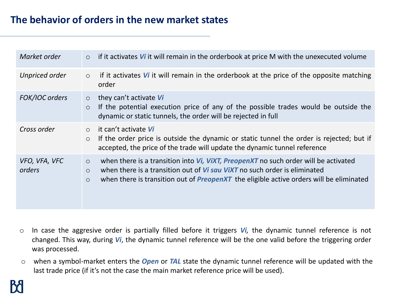| Market order            | if it activates $V_i$ it will remain in the orderbook at price M with the unexecuted volume<br>$\circ$                                                                                                                                                                                                            |
|-------------------------|-------------------------------------------------------------------------------------------------------------------------------------------------------------------------------------------------------------------------------------------------------------------------------------------------------------------|
| <b>Unpriced order</b>   | if it activates $\boldsymbol{V}$ it will remain in the orderbook at the price of the opposite matching<br>$\circ$<br>order                                                                                                                                                                                        |
| FOK/IOC orders          | they can't activate $Vi$<br>$\circ$<br>If the potential execution price of any of the possible trades would be outside the<br>$\circ$<br>dynamic or static tunnels, the order will be rejected in full                                                                                                            |
| Cross order             | it can't activate Vi<br>$\bigcirc$<br>If the order price is outside the dynamic or static tunnel the order is rejected; but if<br>$\circ$<br>accepted, the price of the trade will update the dynamic tunnel reference                                                                                            |
| VFO, VFA, VFC<br>orders | when there is a transition into <i>Vi, ViXT, PreopenXT</i> no such order will be activated<br>$\circ$<br>when there is a transition out of <i>Vi sau ViXT</i> no such order is eliminated<br>$\circ$<br>when there is transition out of <b>PreopenXT</b> the eligible active orders will be eliminated<br>$\circ$ |

- o In case the aggresive order is partially filled before it triggers *Vi,* the dynamic tunnel reference is not changed. This way, during *Vi*, the dynamic tunnel reference will be the one valid before the triggering order was processed.
- o when a symbol-market enters the *Open* or *TAL* state the dynamic tunnel reference will be updated with the last trade price (if it's not the case the main market reference price will be used).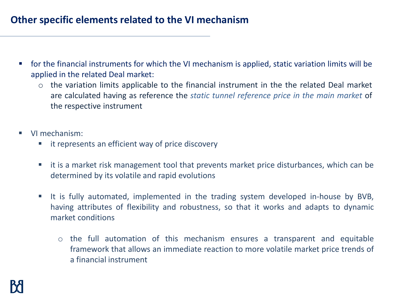### **Other specific elements related to the VI mechanism**

- for the financial instruments for which the VI mechanism is applied, static variation limits will be applied in the related Deal market:
	- o the variation limits applicable to the financial instrument in the the related Deal market are calculated having as reference the *static tunnel reference price in the main market* of the respective instrument
- VI mechanism:
	- it represents an efficient way of price discovery
	- it is a market risk management tool that prevents market price disturbances, which can be determined by its volatile and rapid evolutions
	- It is fully automated, implemented in the trading system developed in-house by BVB, having attributes of flexibility and robustness, so that it works and adapts to dynamic market conditions
		- o the full automation of this mechanism ensures a transparent and equitable framework that allows an immediate reaction to more volatile market price trends of a financial instrument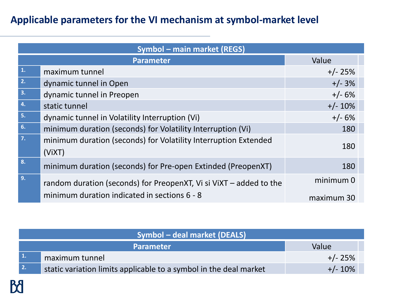## **Applicable parameters for the VI mechanism at symbol-market level**

| <b>Symbol - main market (REGS)</b> |                                                                           |            |  |
|------------------------------------|---------------------------------------------------------------------------|------------|--|
| <b>Parameter</b>                   |                                                                           | Value      |  |
| 1.                                 | maximum tunnel                                                            | $+/- 25%$  |  |
| 2.                                 | dynamic tunnel in Open                                                    | $+/- 3%$   |  |
| 3.                                 | dynamic tunnel in Preopen                                                 | $+/- 6%$   |  |
| 4.                                 | static tunnel                                                             | $+/- 10%$  |  |
| 5.                                 | dynamic tunnel in Volatility Interruption (Vi)                            | $+/- 6%$   |  |
| 6.                                 | minimum duration (seconds) for Volatility Interruption (Vi)               | 180        |  |
| 7.                                 | minimum duration (seconds) for Volatility Interruption Extended<br>(ViXT) | 180        |  |
| 8.                                 | minimum duration (seconds) for Pre-open Extinded (PreopenXT)              | 180        |  |
| 9.                                 | random duration (seconds) for PreopenXT, Vi si ViXT – added to the        | minimum 0  |  |
|                                    | minimum duration indicated in sections 6 - 8                              | maximum 30 |  |

| <b>Symbol – deal market (DEALS)</b> |                                                                   |            |  |
|-------------------------------------|-------------------------------------------------------------------|------------|--|
|                                     | <b>Parameter</b>                                                  | Value      |  |
| $\vert$ 1.                          | maximum tunnel                                                    | $+/- 25%$  |  |
| $\overline{2}$ .                    | static variation limits applicable to a symbol in the deal market | $+/- 10\%$ |  |